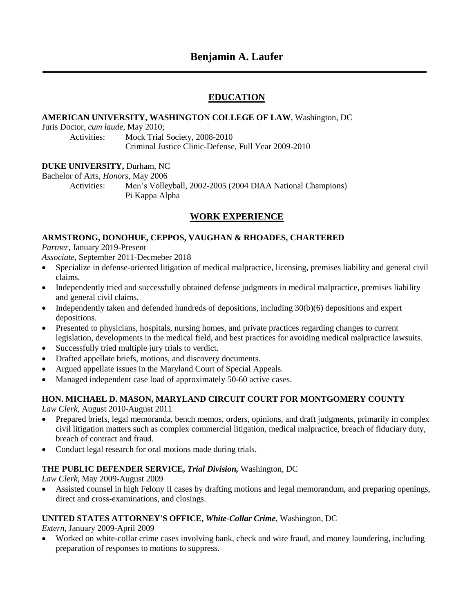# **Benjamin A. Laufer**

# **EDUCATION**

### **AMERICAN UNIVERSITY, WASHINGTON COLLEGE OF LAW**, Washington, DC

Juris Doctor, *cum laude*, May 2010;

Activities: Mock Trial Society, 2008-2010 Criminal Justice Clinic-Defense, Full Year 2009-2010

### **DUKE UNIVERSITY,** Durham, NC

Bachelor of Arts, *Honors*, May 2006

Activities: Men's Volleyball, 2002-2005 (2004 DIAA National Champions) Pi Kappa Alpha

## **WORK EXPERIENCE**

### **ARMSTRONG, DONOHUE, CEPPOS, VAUGHAN & RHOADES, CHARTERED**

*Partner*, January 2019-Present

*Associate*, September 2011-Decmeber 2018

- Specialize in defense-oriented litigation of medical malpractice, licensing, premises liability and general civil claims.
- Independently tried and successfully obtained defense judgments in medical malpractice, premises liability and general civil claims.
- Independently taken and defended hundreds of depositions, including 30(b)(6) depositions and expert depositions.
- Presented to physicians, hospitals, nursing homes, and private practices regarding changes to current legislation, developments in the medical field, and best practices for avoiding medical malpractice lawsuits.
- Successfully tried multiple jury trials to verdict.
- Drafted appellate briefs, motions, and discovery documents.
- Argued appellate issues in the Maryland Court of Special Appeals.
- Managed independent case load of approximately 50-60 active cases.

### **HON. MICHAEL D. MASON, MARYLAND CIRCUIT COURT FOR MONTGOMERY COUNTY**

*Law Clerk,* August 2010-August 2011

- Prepared briefs, legal memoranda, bench memos, orders, opinions, and draft judgments, primarily in complex civil litigation matters such as complex commercial litigation, medical malpractice, breach of fiduciary duty, breach of contract and fraud.
- Conduct legal research for oral motions made during trials.

### **THE PUBLIC DEFENDER SERVICE,** *Trial Division,* Washington, DC

*Law Clerk*, May 2009-August 2009

 Assisted counsel in high Felony II cases by drafting motions and legal memorandum, and preparing openings, direct and cross-examinations, and closings.

### **UNITED STATES ATTORNEY'S OFFICE,** *White-Collar Crime,* Washington, DC

*Extern,* January 2009-April 2009

 Worked on white-collar crime cases involving bank, check and wire fraud, and money laundering, including preparation of responses to motions to suppress.